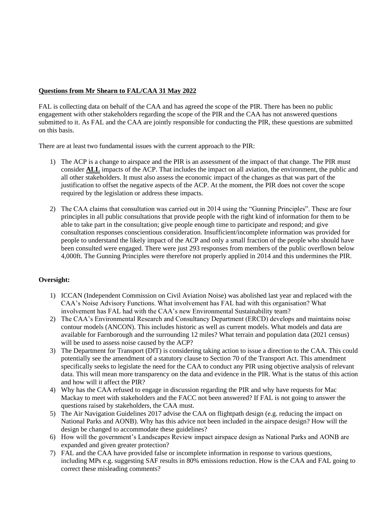# **Questions from Mr Shearn to FAL/CAA 31 May 2022**

FAL is collecting data on behalf of the CAA and has agreed the scope of the PIR. There has been no public engagement with other stakeholders regarding the scope of the PIR and the CAA has not answered questions submitted to it. As FAL and the CAA are jointly responsible for conducting the PIR, these questions are submitted on this basis.

There are at least two fundamental issues with the current approach to the PIR:

- 1) The ACP is a change to airspace and the PIR is an assessment of the impact of that change. The PIR must consider **ALL** impacts of the ACP. That includes the impact on all aviation, the environment, the public and all other stakeholders. It must also assess the economic impact of the changes as that was part of the justification to offset the negative aspects of the ACP. At the moment, the PIR does not cover the scope required by the legislation or address these impacts.
- 2) The CAA claims that consultation was carried out in 2014 using the "Gunning Principles". These are four principles in all public consultations that provide people with the right kind of information for them to be able to take part in the consultation; give people enough time to participate and respond; and give consultation responses conscientious consideration. Insufficient/incomplete information was provided for people to understand the likely impact of the ACP and only a small fraction of the people who should have been consulted were engaged. There were just 293 responses from members of the public overflown below 4,000ft. The Gunning Principles were therefore not properly applied in 2014 and this undermines the PIR.

# **Oversight:**

- 1) ICCAN (Independent Commission on Civil Aviation Noise) was abolished last year and replaced with the CAA's Noise Advisory Functions. What involvement has FAL had with this organisation? What involvement has FAL had with the CAA's new Environmental Sustainability team?
- 2) The CAA's Environmental Research and Consultancy Department (ERCD) develops and maintains noise contour models (ANCON). This includes historic as well as current models. What models and data are available for Farnborough and the surrounding 12 miles? What terrain and population data (2021 census) will be used to assess noise caused by the ACP?
- 3) The Department for Transport (DfT) is considering taking action to issue a direction to the CAA. This could potentially see the amendment of a statutory clause to Section 70 of the Transport Act. This amendment specifically seeks to legislate the need for the CAA to conduct any PIR using objective analysis of relevant data. This will mean more transparency on the data and evidence in the PIR. What is the status of this action and how will it affect the PIR?
- 4) Why has the CAA refused to engage in discussion regarding the PIR and why have requests for Mac Mackay to meet with stakeholders and the FACC not been answered? If FAL is not going to answer the questions raised by stakeholders, the CAA must.
- 5) The Air Navigation Guidelines 2017 advise the CAA on flightpath design (e.g. reducing the impact on National Parks and AONB). Why has this advice not been included in the airspace design? How will the design be changed to accommodate these guidelines?
- 6) How will the government's Landscapes Review impact airspace design as National Parks and AONB are expanded and given greater protection?
- 7) FAL and the CAA have provided false or incomplete information in response to various questions, including MPs e.g. suggesting SAF results in 80% emissions reduction. How is the CAA and FAL going to correct these misleading comments?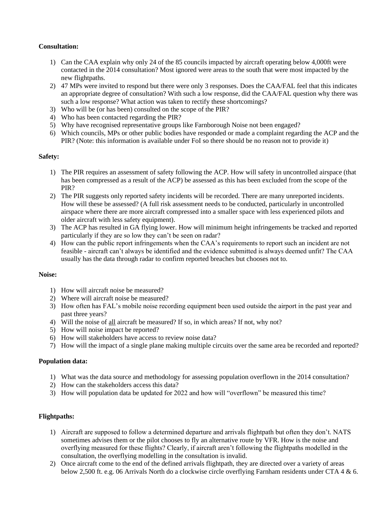## **Consultation:**

- 1) Can the CAA explain why only 24 of the 85 councils impacted by aircraft operating below 4,000ft were contacted in the 2014 consultation? Most ignored were areas to the south that were most impacted by the new flightpaths.
- 2) 47 MPs were invited to respond but there were only 3 responses. Does the CAA/FAL feel that this indicates an appropriate degree of consultation? With such a low response, did the CAA/FAL question why there was such a low response? What action was taken to rectify these shortcomings?
- 3) Who will be (or has been) consulted on the scope of the PIR?
- 4) Who has been contacted regarding the PIR?
- 5) Why have recognised representative groups like Farnborough Noise not been engaged?
- 6) Which councils, MPs or other public bodies have responded or made a complaint regarding the ACP and the PIR? (Note: this information is available under FoI so there should be no reason not to provide it)

## **Safety:**

- 1) The PIR requires an assessment of safety following the ACP. How will safety in uncontrolled airspace (that has been compressed as a result of the ACP) be assessed as this has been excluded from the scope of the PIR?
- 2) The PIR suggests only reported safety incidents will be recorded. There are many unreported incidents. How will these be assessed? (A full risk assessment needs to be conducted, particularly in uncontrolled airspace where there are more aircraft compressed into a smaller space with less experienced pilots and older aircraft with less safety equipment).
- 3) The ACP has resulted in GA flying lower. How will minimum height infringements be tracked and reported particularly if they are so low they can't be seen on radar?
- 4) How can the public report infringements when the CAA's requirements to report such an incident are not feasible - aircraft can't always be identified and the evidence submitted is always deemed unfit? The CAA usually has the data through radar to confirm reported breaches but chooses not to.

#### **Noise:**

- 1) How will aircraft noise be measured?
- 2) Where will aircraft noise be measured?
- 3) How often has FAL's mobile noise recording equipment been used outside the airport in the past year and past three years?
- 4) Will the noise of all aircraft be measured? If so, in which areas? If not, why not?
- 5) How will noise impact be reported?
- 6) How will stakeholders have access to review noise data?
- 7) How will the impact of a single plane making multiple circuits over the same area be recorded and reported?

#### **Population data:**

- 1) What was the data source and methodology for assessing population overflown in the 2014 consultation?
- 2) How can the stakeholders access this data?
- 3) How will population data be updated for 2022 and how will "overflown" be measured this time?

#### **Flightpaths:**

- 1) Aircraft are supposed to follow a determined departure and arrivals flightpath but often they don't. NATS sometimes advises them or the pilot chooses to fly an alternative route by VFR. How is the noise and overflying measured for these flights? Clearly, if aircraft aren't following the flightpaths modelled in the consultation, the overflying modelling in the consultation is invalid.
- 2) Once aircraft come to the end of the defined arrivals flightpath, they are directed over a variety of areas below 2,500 ft. e.g. 06 Arrivals North do a clockwise circle overflying Farnham residents under CTA 4 & 6.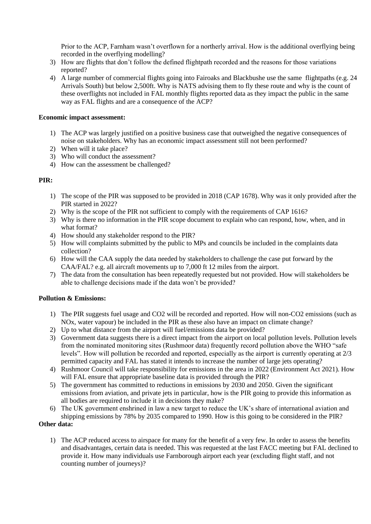Prior to the ACP, Farnham wasn't overflown for a northerly arrival. How is the additional overflying being recorded in the overflying modelling?

- 3) How are flights that don't follow the defined flightpath recorded and the reasons for those variations reported?
- 4) A large number of commercial flights going into Fairoaks and Blackbushe use the same flightpaths (e.g. 24 Arrivals South) but below 2,500ft. Why is NATS advising them to fly these route and why is the count of these overflights not included in FAL monthly flights reported data as they impact the public in the same way as FAL flights and are a consequence of the ACP?

#### **Economic impact assessment:**

- 1) The ACP was largely justified on a positive business case that outweighed the negative consequences of noise on stakeholders. Why has an economic impact assessment still not been performed?
- 2) When will it take place?
- 3) Who will conduct the assessment?
- 4) How can the assessment be challenged?

## **PIR:**

- 1) The scope of the PIR was supposed to be provided in 2018 (CAP 1678). Why was it only provided after the PIR started in 2022?
- 2) Why is the scope of the PIR not sufficient to comply with the requirements of CAP 1616?
- 3) Why is there no information in the PIR scope document to explain who can respond, how, when, and in what format?
- 4) How should any stakeholder respond to the PIR?
- 5) How will complaints submitted by the public to MPs and councils be included in the complaints data collection?
- 6) How will the CAA supply the data needed by stakeholders to challenge the case put forward by the CAA/FAL? e.g. all aircraft movements up to 7,000 ft 12 miles from the airport.
- 7) The data from the consultation has been repeatedly requested but not provided. How will stakeholders be able to challenge decisions made if the data won't be provided?

#### **Pollution & Emissions:**

- 1) The PIR suggests fuel usage and CO2 will be recorded and reported. How will non-CO2 emissions (such as NOx, water vapour) be included in the PIR as these also have an impact on climate change?
- 2) Up to what distance from the airport will fuel/emissions data be provided?
- 3) Government data suggests there is a direct impact from the airport on local pollution levels. Pollution levels from the nominated monitoring sites (Rushmoor data) frequently record pollution above the WHO "safe levels". How will pollution be recorded and reported, especially as the airport is currently operating at 2/3 permitted capacity and FAL has stated it intends to increase the number of large jets operating?
- 4) Rushmoor Council will take responsibility for emissions in the area in 2022 (Environment Act 2021). How will FAL ensure that appropriate baseline data is provided through the PIR?
- 5) The government has committed to reductions in emissions by 2030 and 2050. Given the significant emissions from aviation, and private jets in particular, how is the PIR going to provide this information as all bodies are required to include it in decisions they make?
- 6) The UK government enshrined in law a new target to reduce the UK's share of international aviation and shipping emissions by 78% by 2035 compared to 1990. How is this going to be considered in the PIR?

#### **Other data:**

1) The ACP reduced access to airspace for many for the benefit of a very few. In order to assess the benefits and disadvantages, certain data is needed. This was requested at the last FACC meeting but FAL declined to provide it. How many individuals use Farnborough airport each year (excluding flight staff, and not counting number of journeys)?